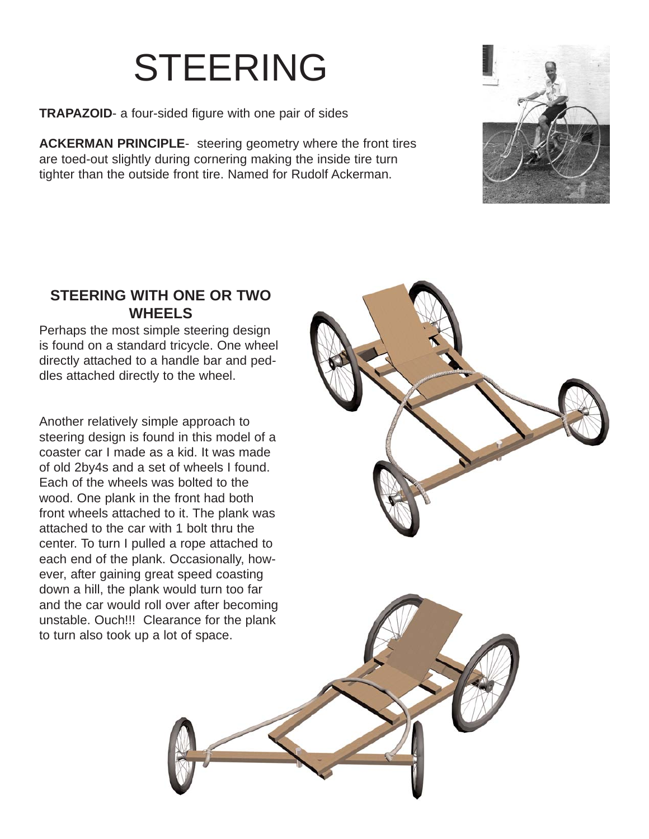# STEERING

**TRAPAZOID**- a four-sided figure with one pair of sides

**ACKERMAN PRINCIPLE**- steering geometry where the front tires are toed-out slightly during cornering making the inside tire turn tighter than the outside front tire. Named for Rudolf Ackerman.



#### **STEERING WITH ONE OR TWO WHEELS**

Perhaps the most simple steering design is found on a standard tricycle. One wheel directly attached to a handle bar and peddles attached directly to the wheel.

Another relatively simple approach to steering design is found in this model of a coaster car I made as a kid. It was made of old 2by4s and a set of wheels I found. Each of the wheels was bolted to the wood. One plank in the front had both front wheels attached to it. The plank was attached to the car with 1 bolt thru the center. To turn I pulled a rope attached to each end of the plank. Occasionally, however, after gaining great speed coasting down a hill, the plank would turn too far and the car would roll over after becoming unstable. Ouch!!! Clearance for the plank to turn also took up a lot of space.



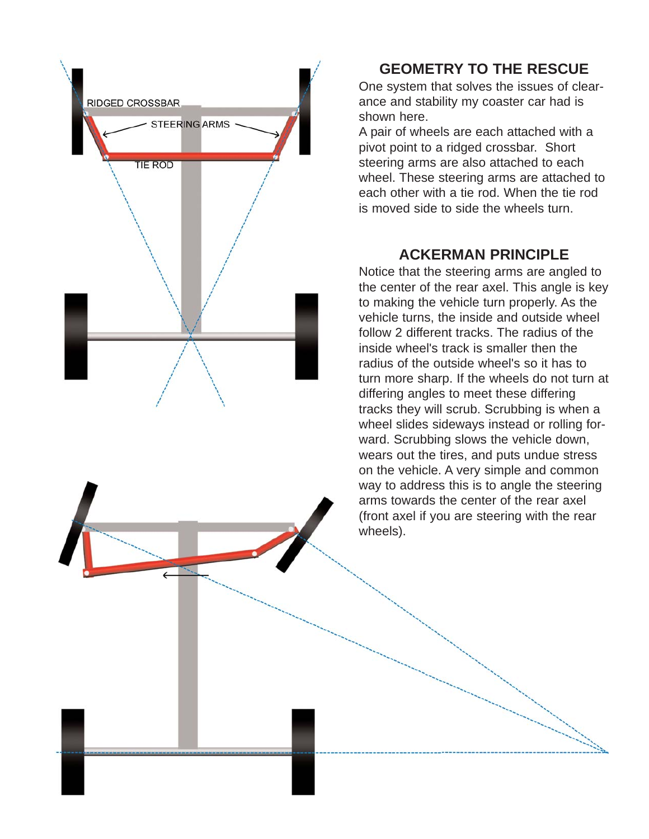

### **GEOMETRY TO THE RESCUE**

One system that solves the issues of clearance and stability my coaster car had is shown here.

A pair of wheels are each attached with a pivot point to a ridged crossbar. Short steering arms are also attached to each wheel. These steering arms are attached to each other with a tie rod. When the tie rod is moved side to side the wheels turn.

### **ACKERMAN PRINCIPLE**

Notice that the steering arms are angled to the center of the rear axel. This angle is key to making the vehicle turn properly. As the vehicle turns, the inside and outside wheel follow 2 different tracks. The radius of the inside wheel's track is smaller then the radius of the outside wheel's so it has to turn more sharp. If the wheels do not turn at differing angles to meet these differing tracks they will scrub. Scrubbing is when a wheel slides sideways instead or rolling forward. Scrubbing slows the vehicle down, wears out the tires, and puts undue stress on the vehicle. A very simple and common way to address this is to angle the steering arms towards the center of the rear axel (front axel if you are steering with the rear wheels).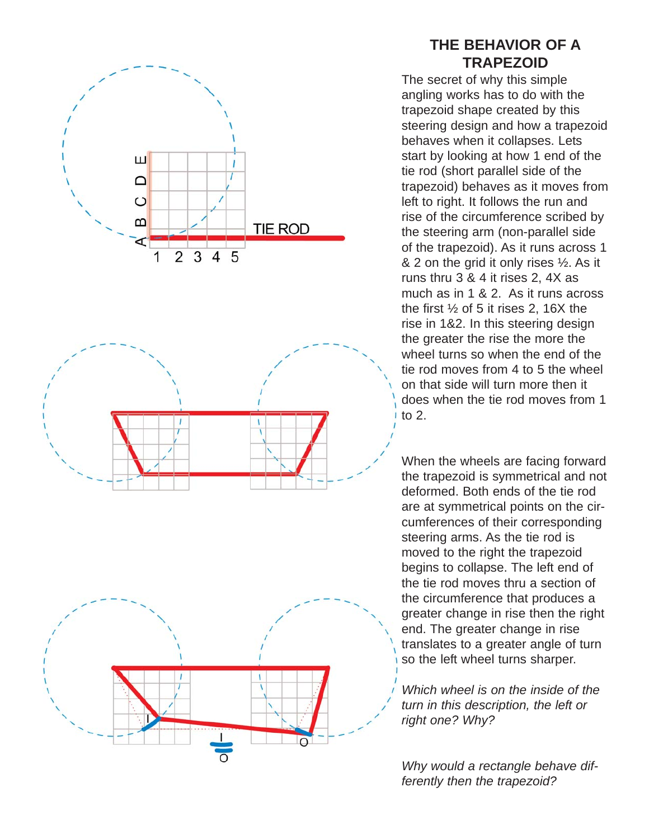





### **THE BEHAVIOR OF A TRAPEZOID**

The secret of why this simple angling works has to do with the trapezoid shape created by this steering design and how a trapezoid behaves when it collapses. Lets start by looking at how 1 end of the tie rod (short parallel side of the trapezoid) behaves as it moves from left to right. It follows the run and rise of the circumference scribed by the steering arm (non-parallel side of the trapezoid). As it runs across 1  $& 2$  on the grid it only rises  $\frac{1}{2}$ . As it runs thru 3 & 4 it rises 2, 4X as much as in 1 & 2. As it runs across the first  $\frac{1}{2}$  of 5 it rises 2, 16X the rise in 1&2. In this steering design the greater the rise the more the wheel turns so when the end of the tie rod moves from 4 to 5 the wheel on that side will turn more then it does when the tie rod moves from 1 to 2.

When the wheels are facing forward the trapezoid is symmetrical and not deformed. Both ends of the tie rod are at symmetrical points on the circumferences of their corresponding steering arms. As the tie rod is moved to the right the trapezoid begins to collapse. The left end of the tie rod moves thru a section of the circumference that produces a greater change in rise then the right end. The greater change in rise translates to a greater angle of turn so the left wheel turns sharper.

*Which wheel is on the inside of the turn in this description, the left or right one? Why?*

*Why would a rectangle behave differently then the trapezoid?*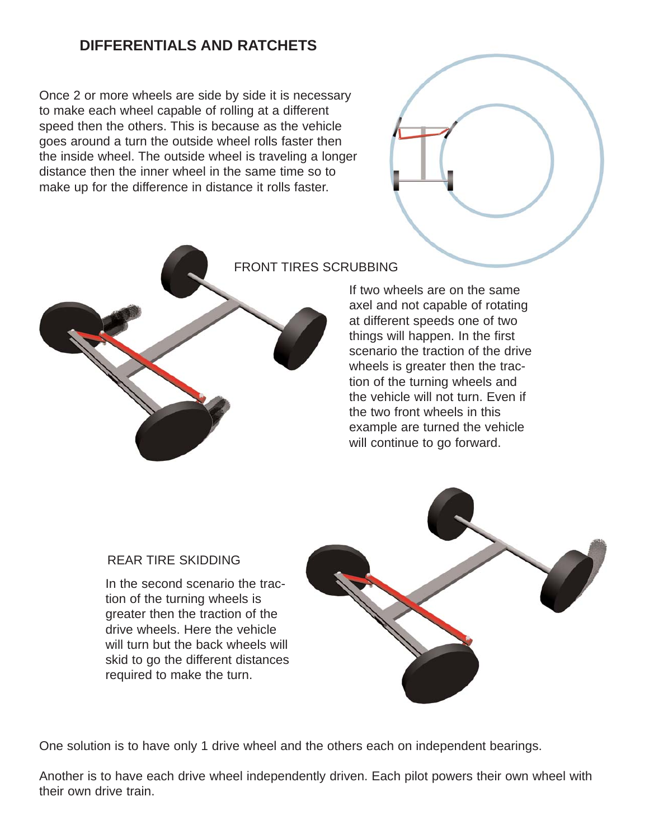## **DIFFERENTIALS AND RATCHETS**

Once 2 or more wheels are side by side it is necessary to make each wheel capable of rolling at a different speed then the others. This is because as the vehicle goes around a turn the outside wheel rolls faster then the inside wheel. The outside wheel is traveling a longer distance then the inner wheel in the same time so to make up for the difference in distance it rolls faster.





#### FRONT TIRES SCRUBBING

If two wheels are on the same axel and not capable of rotating at different speeds one of two things will happen. In the first scenario the traction of the drive wheels is greater then the traction of the turning wheels and the vehicle will not turn. Even if the two front wheels in this example are turned the vehicle will continue to go forward.

#### REAR TIRE SKIDDING

In the second scenario the traction of the turning wheels is greater then the traction of the drive wheels. Here the vehicle will turn but the back wheels will skid to go the different distances required to make the turn.



One solution is to have only 1 drive wheel and the others each on independent bearings.

Another is to have each drive wheel independently driven. Each pilot powers their own wheel with their own drive train.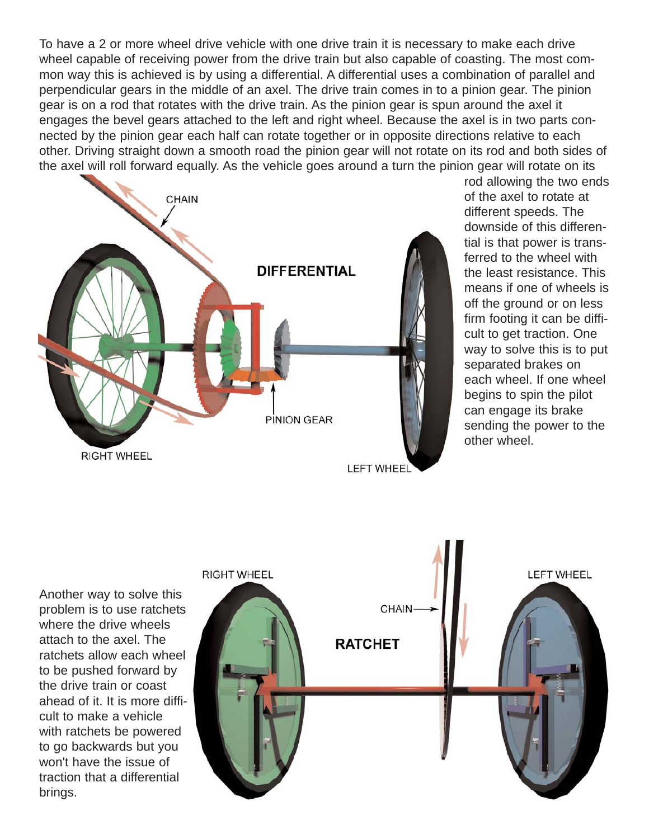To have a 2 or more wheel drive vehicle with one drive train it is necessary to make each drive wheel capable of receiving power from the drive train but also capable of coasting. The most common way this is achieved is by using a differential. A differential uses a combination of parallel and perpendicular gears in the middle of an axel. The drive train comes in to a pinion gear. The pinion gear is on a rod that rotates with the drive train. As the pinion gear is spun around the axel it engages the bevel gears attached to the left and right wheel. Because the axel is in two parts connected by the pinion gear each half can rotate together or in opposite directions relative to each other. Driving straight down a smooth road the pinion gear will not rotate on its rod and both sides of the axel will roll forward equally. As the vehicle goes around a turn the pinion gear will rotate on its



rod allowing the two ends of the axel to rotate at different speeds. The downside of this differential is that power is transferred to the wheel with the least resistance. This means if one of wheels is off the ground or on less firm footing it can be difficult to get traction. One way to solve this is to put separated brakes on each wheel. If one wheel begins to spin the pilot can engage its brake sending the power to the other wheel.

Another way to solve this problem is to use ratchets where the drive wheels attach to the axel. The ratchets allow each wheel to be pushed forward by the drive train or coast ahead of it. It is more difficult to make a vehicle with ratchets be powered to go backwards but you won't have the issue of traction that a differential brings.